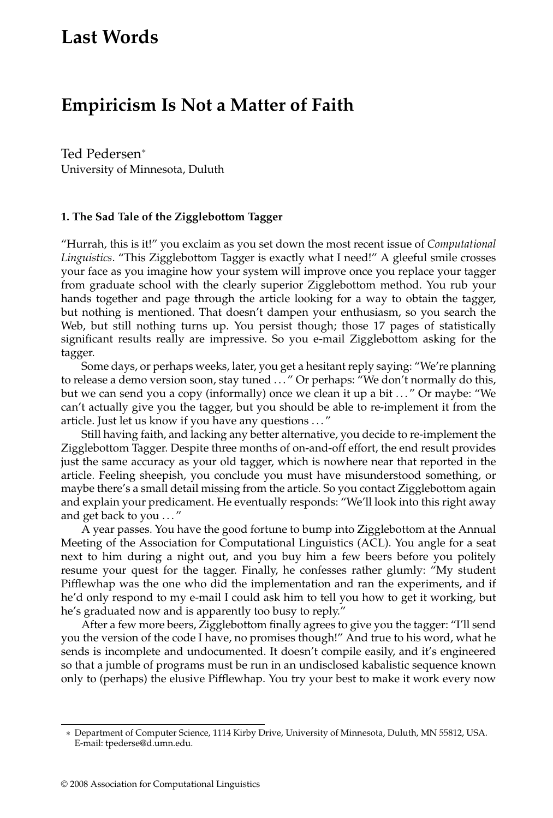# **Last Words**

# **Empiricism Is Not a Matter of Faith**

Ted Pedersen<sup>∗</sup> University of Minnesota, Duluth

#### **1. The Sad Tale of the Zigglebottom Tagger**

"Hurrah, this is it!" you exclaim as you set down the most recent issue of *Computational Linguistics*. "This Zigglebottom Tagger is exactly what I need!" A gleeful smile crosses your face as you imagine how your system will improve once you replace your tagger from graduate school with the clearly superior Zigglebottom method. You rub your hands together and page through the article looking for a way to obtain the tagger, but nothing is mentioned. That doesn't dampen your enthusiasm, so you search the Web, but still nothing turns up. You persist though; those 17 pages of statistically significant results really are impressive. So you e-mail Zigglebottom asking for the tagger.

Some days, or perhaps weeks, later, you get a hesitant reply saying: "We're planning to release a demo version soon, stay tuned . . . " Or perhaps: "We don't normally do this, but we can send you a copy (informally) once we clean it up a bit ..." Or maybe: "We can't actually give you the tagger, but you should be able to re-implement it from the article. Just let us know if you have any questions . . . "

Still having faith, and lacking any better alternative, you decide to re-implement the Zigglebottom Tagger. Despite three months of on-and-off effort, the end result provides just the same accuracy as your old tagger, which is nowhere near that reported in the article. Feeling sheepish, you conclude you must have misunderstood something, or maybe there's a small detail missing from the article. So you contact Zigglebottom again and explain your predicament. He eventually responds: "We'll look into this right away and get back to you ..."

A year passes. You have the good fortune to bump into Zigglebottom at the Annual Meeting of the Association for Computational Linguistics (ACL). You angle for a seat next to him during a night out, and you buy him a few beers before you politely resume your quest for the tagger. Finally, he confesses rather glumly: "My student Pifflewhap was the one who did the implementation and ran the experiments, and if he'd only respond to my e-mail I could ask him to tell you how to get it working, but he's graduated now and is apparently too busy to reply."

After a few more beers, Zigglebottom finally agrees to give you the tagger: "I'll send you the version of the code I have, no promises though!" And true to his word, what he sends is incomplete and undocumented. It doesn't compile easily, and it's engineered so that a jumble of programs must be run in an undisclosed kabalistic sequence known only to (perhaps) the elusive Pifflewhap. You try your best to make it work every now

<sup>∗</sup> Department of Computer Science, 1114 Kirby Drive, University of Minnesota, Duluth, MN 55812, USA. E-mail: tpederse@d.umn.edu.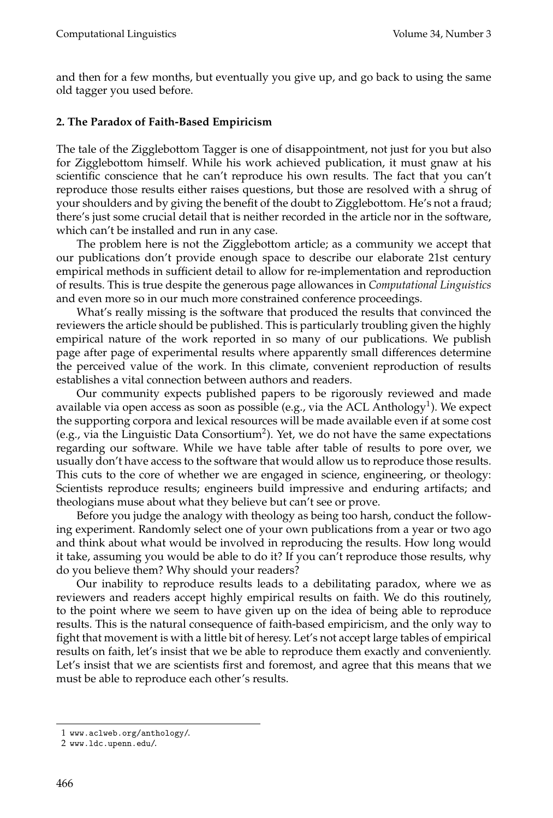and then for a few months, but eventually you give up, and go back to using the same old tagger you used before.

#### **2. The Paradox of Faith-Based Empiricism**

The tale of the Zigglebottom Tagger is one of disappointment, not just for you but also for Zigglebottom himself. While his work achieved publication, it must gnaw at his scientific conscience that he can't reproduce his own results. The fact that you can't reproduce those results either raises questions, but those are resolved with a shrug of your shoulders and by giving the benefit of the doubt to Zigglebottom. He's not a fraud; there's just some crucial detail that is neither recorded in the article nor in the software, which can't be installed and run in any case.

The problem here is not the Zigglebottom article; as a community we accept that our publications don't provide enough space to describe our elaborate 21st century empirical methods in sufficient detail to allow for re-implementation and reproduction of results. This is true despite the generous page allowances in *Computational Linguistics* and even more so in our much more constrained conference proceedings.

What's really missing is the software that produced the results that convinced the reviewers the article should be published. This is particularly troubling given the highly empirical nature of the work reported in so many of our publications. We publish page after page of experimental results where apparently small differences determine the perceived value of the work. In this climate, convenient reproduction of results establishes a vital connection between authors and readers.

Our community expects published papers to be rigorously reviewed and made available via open access as soon as possible (e.g., via the ACL Anthology<sup>1</sup>). We expect the supporting corpora and lexical resources will be made available even if at some cost (e.g., via the Linguistic Data Consortium<sup>2</sup>). Yet, we do not have the same expectations regarding our software. While we have table after table of results to pore over, we usually don't have access to the software that would allow us to reproduce those results. This cuts to the core of whether we are engaged in science, engineering, or theology: Scientists reproduce results; engineers build impressive and enduring artifacts; and theologians muse about what they believe but can't see or prove.

Before you judge the analogy with theology as being too harsh, conduct the following experiment. Randomly select one of your own publications from a year or two ago and think about what would be involved in reproducing the results. How long would it take, assuming you would be able to do it? If you can't reproduce those results, why do you believe them? Why should your readers?

Our inability to reproduce results leads to a debilitating paradox, where we as reviewers and readers accept highly empirical results on faith. We do this routinely, to the point where we seem to have given up on the idea of being able to reproduce results. This is the natural consequence of faith-based empiricism, and the only way to fight that movement is with a little bit of heresy. Let's not accept large tables of empirical results on faith, let's insist that we be able to reproduce them exactly and conveniently. Let's insist that we are scientists first and foremost, and agree that this means that we must be able to reproduce each other's results.

<sup>1</sup> www.aclweb.org/anthology/.

<sup>2</sup> www.ldc.upenn.edu/.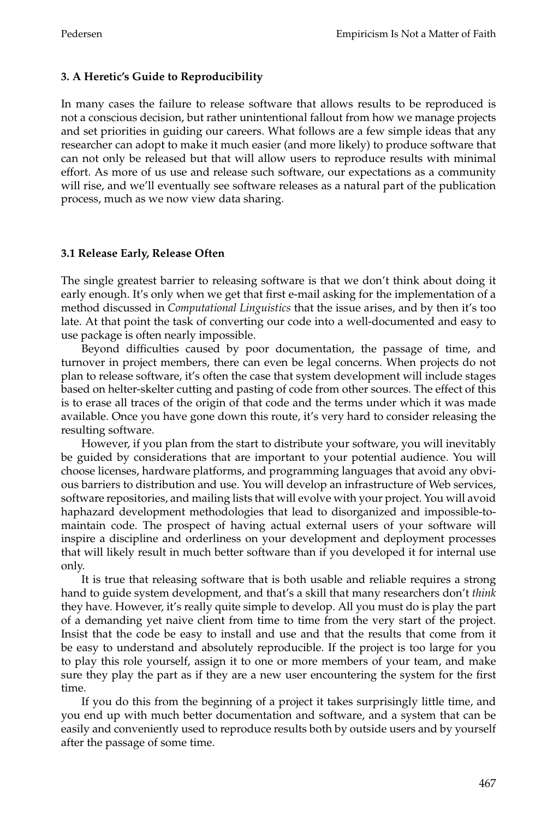## **3. A Heretic's Guide to Reproducibility**

In many cases the failure to release software that allows results to be reproduced is not a conscious decision, but rather unintentional fallout from how we manage projects and set priorities in guiding our careers. What follows are a few simple ideas that any researcher can adopt to make it much easier (and more likely) to produce software that can not only be released but that will allow users to reproduce results with minimal effort. As more of us use and release such software, our expectations as a community will rise, and we'll eventually see software releases as a natural part of the publication process, much as we now view data sharing.

### **3.1 Release Early, Release Often**

The single greatest barrier to releasing software is that we don't think about doing it early enough. It's only when we get that first e-mail asking for the implementation of a method discussed in *Computational Linguistics* that the issue arises, and by then it's too late. At that point the task of converting our code into a well-documented and easy to use package is often nearly impossible.

Beyond difficulties caused by poor documentation, the passage of time, and turnover in project members, there can even be legal concerns. When projects do not plan to release software, it's often the case that system development will include stages based on helter-skelter cutting and pasting of code from other sources. The effect of this is to erase all traces of the origin of that code and the terms under which it was made available. Once you have gone down this route, it's very hard to consider releasing the resulting software.

However, if you plan from the start to distribute your software, you will inevitably be guided by considerations that are important to your potential audience. You will choose licenses, hardware platforms, and programming languages that avoid any obvious barriers to distribution and use. You will develop an infrastructure of Web services, software repositories, and mailing lists that will evolve with your project. You will avoid haphazard development methodologies that lead to disorganized and impossible-tomaintain code. The prospect of having actual external users of your software will inspire a discipline and orderliness on your development and deployment processes that will likely result in much better software than if you developed it for internal use only.

It is true that releasing software that is both usable and reliable requires a strong hand to guide system development, and that's a skill that many researchers don't *think* they have. However, it's really quite simple to develop. All you must do is play the part of a demandingyet naive client from time to time from the very start of the project. Insist that the code be easy to install and use and that the results that come from it be easy to understand and absolutely reproducible. If the project is too large for you to play this role yourself, assign it to one or more members of your team, and make sure they play the part as if they are a new user encountering the system for the first time.

If you do this from the beginning of a project it takes surprisingly little time, and you end up with much better documentation and software, and a system that can be easily and conveniently used to reproduce results both by outside users and by yourself after the passage of some time.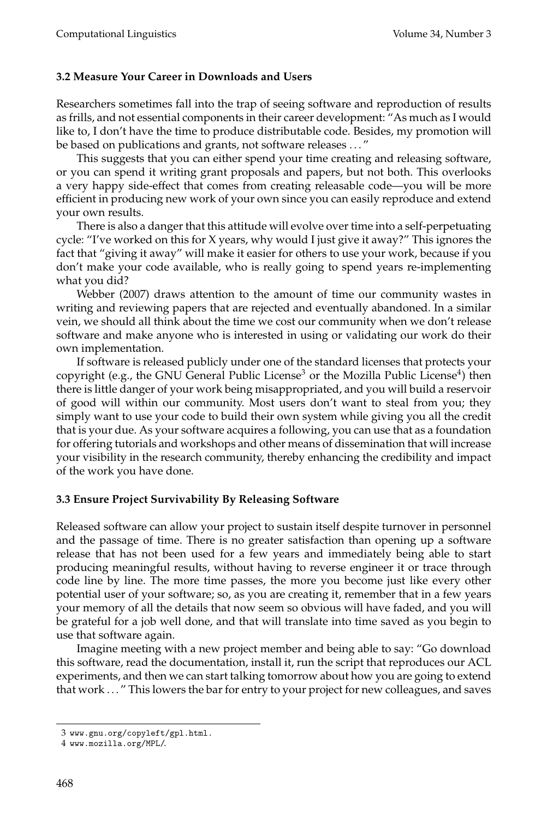#### **3.2 Measure Your Career in Downloads and Users**

Researchers sometimes fall into the trap of seeing software and reproduction of results as frills, and not essential components in their career development: "As much as I would like to, I don't have the time to produce distributable code. Besides, my promotion will be based on publications and grants, not software releases ..."

This suggests that you can either spend your time creating and releasing software, or you can spend it writinggrant proposals and papers, but not both. This overlooks a very happy side-effect that comes from creating releasable code—you will be more efficient in producing new work of your own since you can easily reproduce and extend your own results.

There is also a danger that this attitude will evolve over time into a self-perpetuating cycle: "I've worked on this for X years, why would I just give it away?" This ignores the fact that "giving it away" will make it easier for others to use your work, because if you don't make your code available, who is really going to spend years re-implementing what you did?

Webber (2007) draws attention to the amount of time our community wastes in writing and reviewing papers that are rejected and eventually abandoned. In a similar vein, we should all think about the time we cost our community when we don't release software and make anyone who is interested in using or validating our work do their own implementation.

If software is released publicly under one of the standard licenses that protects your copyright (e.g., the GNU General Public License<sup>3</sup> or the Mozilla Public License<sup>4</sup>) then there is little danger of your work being misappropriated, and you will build a reservoir of good will within our community. Most users don't want to steal from you; they simply want to use your code to build their own system while giving you all the credit that is your due. As your software acquires a following, you can use that as a foundation for offering tutorials and workshops and other means of dissemination that will increase your visibility in the research community, thereby enhancing the credibility and impact of the work you have done.

#### **3.3 Ensure Project Survivability By Releasing Software**

Released software can allow your project to sustain itself despite turnover in personnel and the passage of time. There is no greater satisfaction than opening up a software release that has not been used for a few years and immediately being able to start producing meaningful results, without having to reverse engineer it or trace through code line by line. The more time passes, the more you become just like every other potential user of your software; so, as you are creatingit, remember that in a few years your memory of all the details that now seem so obvious will have faded, and you will be grateful for a job well done, and that will translate into time saved as you begin to use that software again.

Imagine meeting with a new project member and being able to say: "Go download this software, read the documentation, install it, run the script that reproduces our ACL experiments, and then we can start talking tomorrow about how you are going to extend that work . . . " This lowers the bar for entry to your project for new colleagues, and saves

<sup>3</sup> www.gnu.org/copyleft/gpl.html.

<sup>4</sup> www.mozilla.org/MPL/.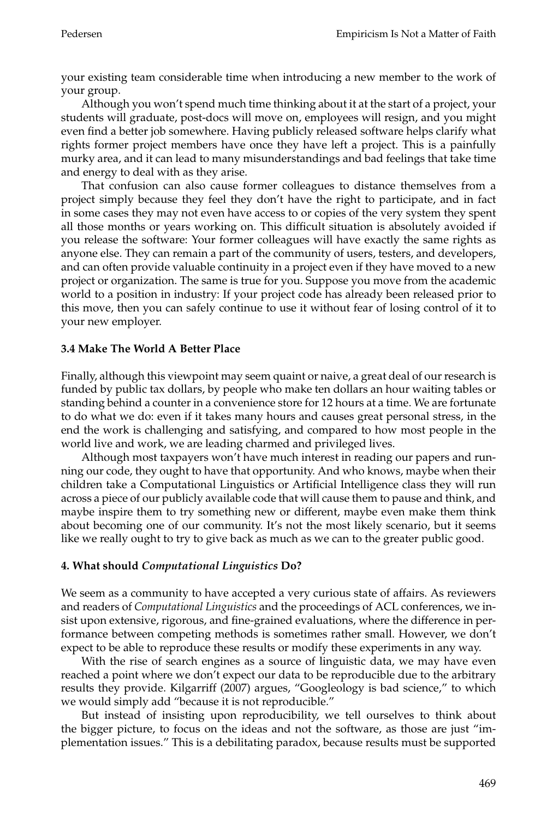your existing team considerable time when introducing a new member to the work of your group.

Although you won't spend much time thinking about it at the start of a project, your students will graduate, post-docs will move on, employees will resign, and you might even find a better job somewhere. Having publicly released software helps clarify what rights former project members have once they have left a project. This is a painfully murky area, and it can lead to many misunderstandings and bad feelings that take time and energy to deal with as they arise.

That confusion can also cause former colleagues to distance themselves from a project simply because they feel they don't have the right to participate, and in fact in some cases they may not even have access to or copies of the very system they spent all those months or years working on. This difficult situation is absolutely avoided if you release the software: Your former colleagues will have exactly the same rights as anyone else. They can remain a part of the community of users, testers, and developers, and can often provide valuable continuity in a project even if they have moved to a new project or organization. The same is true for you. Suppose you move from the academic world to a position in industry: If your project code has already been released prior to this move, then you can safely continue to use it without fear of losing control of it to your new employer.

## **3.4 Make The World A Better Place**

Finally, although this viewpoint may seem quaint or naive, a great deal of our research is funded by public tax dollars, by people who make ten dollars an hour waiting tables or standing behind a counter in a convenience store for 12 hours at a time. We are fortunate to do what we do: even if it takes many hours and causes great personal stress, in the end the work is challenging and satisfying, and compared to how most people in the world live and work, we are leading charmed and privileged lives.

Although most taxpayers won't have much interest in reading our papers and running our code, they ought to have that opportunity. And who knows, maybe when their children take a Computational Linguistics or Artificial Intelligence class they will run across a piece of our publicly available code that will cause them to pause and think, and maybe inspire them to try something new or different, maybe even make them think about becoming one of our community. It's not the most likely scenario, but it seems like we really ought to try to give back as much as we can to the greater public good.

### **4. What should** *Computational Linguistics* **Do?**

We seem as a community to have accepted a very curious state of affairs. As reviewers and readers of *Computational Linguistics* and the proceedings of ACL conferences, we insist upon extensive, rigorous, and fine-grained evaluations, where the difference in performance between competing methods is sometimes rather small. However, we don't expect to be able to reproduce these results or modify these experiments in any way.

With the rise of search engines as a source of linguistic data, we may have even reached a point where we don't expect our data to be reproducible due to the arbitrary results they provide. Kilgarriff (2007) argues, "Googleology is bad science," to which we would simply add "because it is not reproducible."

But instead of insisting upon reproducibility, we tell ourselves to think about the bigger picture, to focus on the ideas and not the software, as those are just "implementation issues." This is a debilitating paradox, because results must be supported